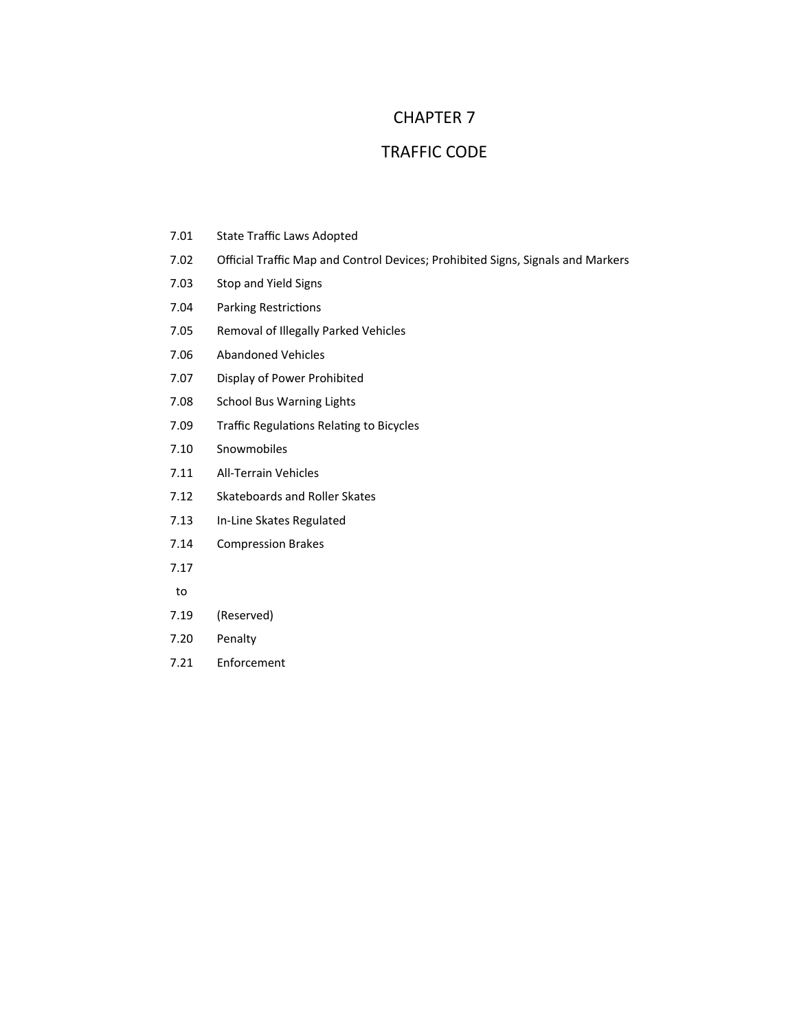## CHAPTER 7

## TRAFFIC CODE

- 7.01 State Traffic Laws Adopted
- 7.02 Official Traffic Map and Control Devices; Prohibited Signs, Signals and Markers
- 7.03 Stop and Yield Signs
- 7.04 Parking Restrictions
- 7.05 Removal of Illegally Parked Vehicles
- 7.06 Abandoned Vehicles
- 7.07 Display of Power Prohibited
- 7.08 School Bus Warning Lights
- 7.09 Traffic Regulations Relating to Bicycles
- 7.10 Snowmobiles
- 7.11 All‐Terrain Vehicles
- 7.12 Skateboards and Roller Skates
- 7.13 In‐Line Skates Regulated
- 7.14 Compression Brakes
- 7.17
- to
- 7.19 (Reserved)
- 7.20 Penalty
- 7.21 Enforcement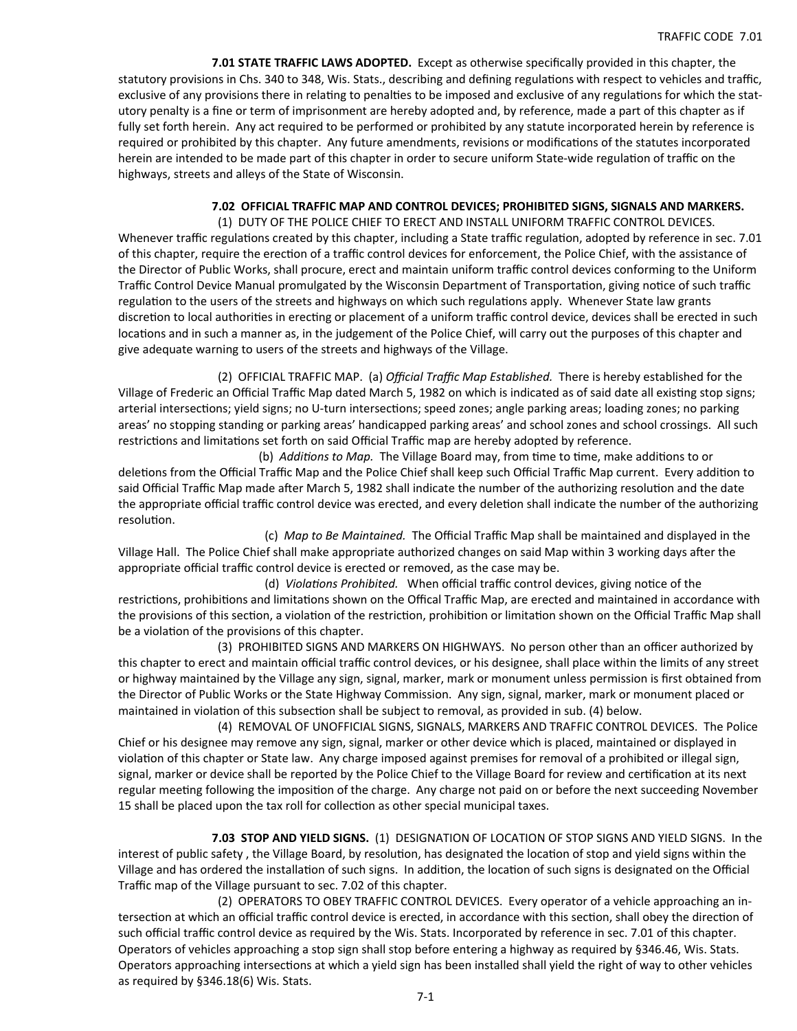**7.01 STATE TRAFFIC LAWS ADOPTED.**  Except as otherwise specifically provided in this chapter, the statutory provisions in Chs. 340 to 348, Wis. Stats., describing and defining regulations with respect to vehicles and traffic, exclusive of any provisions there in relating to penalties to be imposed and exclusive of any regulations for which the statutory penalty is a fine or term of imprisonment are hereby adopted and, by reference, made a part of this chapter as if fully set forth herein. Any act required to be performed or prohibited by any statute incorporated herein by reference is required or prohibited by this chapter. Any future amendments, revisions or modifications of the statutes incorporated herein are intended to be made part of this chapter in order to secure uniform State-wide regulation of traffic on the highways, streets and alleys of the State of Wisconsin.

## **7.02 OFFICIAL TRAFFIC MAP AND CONTROL DEVICES; PROHIBITED SIGNS, SIGNALS AND MARKERS.**

(1) DUTY OF THE POLICE CHIEF TO ERECT AND INSTALL UNIFORM TRAFFIC CONTROL DEVICES. Whenever traffic regulations created by this chapter, including a State traffic regulation, adopted by reference in sec. 7.01 of this chapter, require the erection of a traffic control devices for enforcement, the Police Chief, with the assistance of the Director of Public Works, shall procure, erect and maintain uniform traffic control devices conforming to the Uniform Traffic Control Device Manual promulgated by the Wisconsin Department of Transportation, giving notice of such traffic regulation to the users of the streets and highways on which such regulations apply. Whenever State law grants discretion to local authorities in erecting or placement of a uniform traffic control device, devices shall be erected in such locations and in such a manner as, in the judgement of the Police Chief, will carry out the purposes of this chapter and give adequate warning to users of the streets and highways of the Village.

 (2) OFFICIAL TRAFFIC MAP. (a) *Official Traffic Map Established.* There is hereby established for the Village of Frederic an Official Traffic Map dated March 5, 1982 on which is indicated as of said date all existing stop signs; arterial intersections; yield signs; no U-turn intersections; speed zones; angle parking areas; loading zones; no parking areas' no stopping standing or parking areas' handicapped parking areas' and school zones and school crossings. All such restrictions and limitations set forth on said Official Traffic map are hereby adopted by reference.

(b) *Additions to Map.* The Village Board may, from time to time, make additions to or deletions from the Official Traffic Map and the Police Chief shall keep such Official Traffic Map current. Every addition to said Official Traffic Map made after March 5, 1982 shall indicate the number of the authorizing resolution and the date the appropriate official traffic control device was erected, and every deletion shall indicate the number of the authorizing resolution.

 (c) *Map to Be Maintained.* The Official Traffic Map shall be maintained and displayed in the Village Hall. The Police Chief shall make appropriate authorized changes on said Map within 3 working days after the appropriate official traffic control device is erected or removed, as the case may be.

(d) *Violations Prohibited.* When official traffic control devices, giving notice of the restrictions, prohibitions and limitations shown on the Offical Traffic Map, are erected and maintained in accordance with the provisions of this section, a violation of the restriction, prohibition or limitation shown on the Official Traffic Map shall be a violation of the provisions of this chapter.

 (3) PROHIBITED SIGNS AND MARKERS ON HIGHWAYS. No person other than an officer authorized by this chapter to erect and maintain official traffic control devices, or his designee, shall place within the limits of any street or highway maintained by the Village any sign, signal, marker, mark or monument unless permission is first obtained from the Director of Public Works or the State Highway Commission. Any sign, signal, marker, mark or monument placed or maintained in violation of this subsection shall be subject to removal, as provided in sub. (4) below.

 (4) REMOVAL OF UNOFFICIAL SIGNS, SIGNALS, MARKERS AND TRAFFIC CONTROL DEVICES. The Police Chief or his designee may remove any sign, signal, marker or other device which is placed, maintained or displayed in violation of this chapter or State law. Any charge imposed against premises for removal of a prohibited or illegal sign, signal, marker or device shall be reported by the Police Chief to the Village Board for review and certification at its next regular meeting following the imposition of the charge. Any charge not paid on or before the next succeeding November 15 shall be placed upon the tax roll for collection as other special municipal taxes.

 **7.03 STOP AND YIELD SIGNS.** (1) DESIGNATION OF LOCATION OF STOP SIGNS AND YIELD SIGNS. In the interest of public safety, the Village Board, by resolution, has designated the location of stop and yield signs within the Village and has ordered the installation of such signs. In addition, the location of such signs is designated on the Official Traffic map of the Village pursuant to sec. 7.02 of this chapter.

 (2) OPERATORS TO OBEY TRAFFIC CONTROL DEVICES. Every operator of a vehicle approaching an in‐ tersection at which an official traffic control device is erected, in accordance with this section, shall obey the direction of such official traffic control device as required by the Wis. Stats. Incorporated by reference in sec. 7.01 of this chapter. Operators of vehicles approaching a stop sign shall stop before entering a highway as required by §346.46, Wis. Stats. Operators approaching intersections at which a yield sign has been installed shall yield the right of way to other vehicles as required by §346.18(6) Wis. Stats.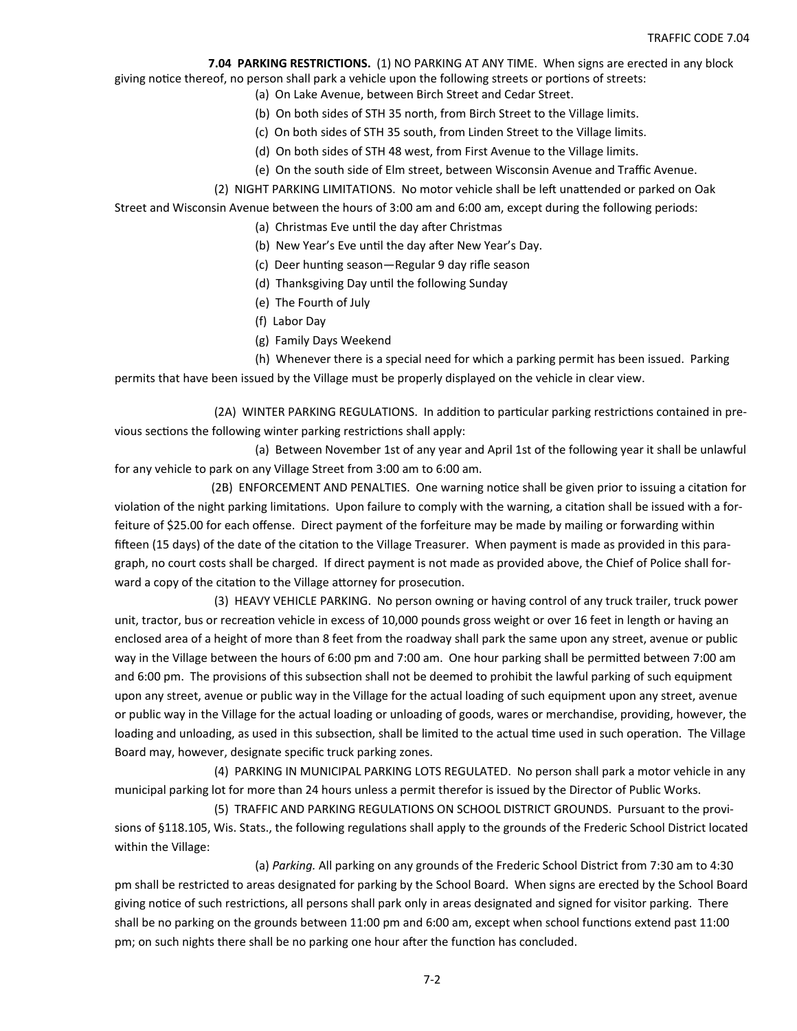**7.04 PARKING RESTRICTIONS.** (1) NO PARKING AT ANY TIME. When signs are erected in any block

giving notice thereof, no person shall park a vehicle upon the following streets or portions of streets:

- (a) On Lake Avenue, between Birch Street and Cedar Street.
- (b) On both sides of STH 35 north, from Birch Street to the Village limits.
- (c) On both sides of STH 35 south, from Linden Street to the Village limits.
- (d) On both sides of STH 48 west, from First Avenue to the Village limits.
- (e) On the south side of Elm street, between Wisconsin Avenue and Traffic Avenue.
- (2) NIGHT PARKING LIMITATIONS. No motor vehicle shall be left unattended or parked on Oak

Street and Wisconsin Avenue between the hours of 3:00 am and 6:00 am, except during the following periods:

- (a) Christmas Eve until the day after Christmas
- (b) New Year's Eve until the day after New Year's Day.
- (c) Deer hunting season—Regular 9 day rifle season
- (d) Thanksgiving Day until the following Sunday
- (e) The Fourth of July
- (f) Labor Day
- (g) Family Days Weekend

 (h) Whenever there is a special need for which a parking permit has been issued. Parking permits that have been issued by the Village must be properly displayed on the vehicle in clear view.

(2A) WINTER PARKING REGULATIONS. In addition to particular parking restrictions contained in previous sections the following winter parking restrictions shall apply:

 (a) Between November 1st of any year and April 1st of the following year it shall be unlawful for any vehicle to park on any Village Street from 3:00 am to 6:00 am.

(2B) ENFORCEMENT AND PENALTIES. One warning notice shall be given prior to issuing a citation for violation of the night parking limitations. Upon failure to comply with the warning, a citation shall be issued with a forfeiture of \$25.00 for each offense. Direct payment of the forfeiture may be made by mailing or forwarding within fifteen (15 days) of the date of the citation to the Village Treasurer. When payment is made as provided in this paragraph, no court costs shall be charged. If direct payment is not made as provided above, the Chief of Police shall for‐ ward a copy of the citation to the Village attorney for prosecution.

 (3) HEAVY VEHICLE PARKING. No person owning or having control of any truck trailer, truck power unit, tractor, bus or recreation vehicle in excess of 10,000 pounds gross weight or over 16 feet in length or having an enclosed area of a height of more than 8 feet from the roadway shall park the same upon any street, avenue or public way in the Village between the hours of 6:00 pm and 7:00 am. One hour parking shall be permitted between 7:00 am and 6:00 pm. The provisions of this subsection shall not be deemed to prohibit the lawful parking of such equipment upon any street, avenue or public way in the Village for the actual loading of such equipment upon any street, avenue or public way in the Village for the actual loading or unloading of goods, wares or merchandise, providing, however, the loading and unloading, as used in this subsection, shall be limited to the actual time used in such operation. The Village Board may, however, designate specific truck parking zones.

 (4) PARKING IN MUNICIPAL PARKING LOTS REGULATED. No person shall park a motor vehicle in any municipal parking lot for more than 24 hours unless a permit therefor is issued by the Director of Public Works.

 (5) TRAFFIC AND PARKING REGULATIONS ON SCHOOL DISTRICT GROUNDS. Pursuant to the provi‐ sions of §118.105, Wis. Stats., the following regulations shall apply to the grounds of the Frederic School District located within the Village:

 (a) *Parking.* All parking on any grounds of the Frederic School District from 7:30 am to 4:30 pm shall be restricted to areas designated for parking by the School Board. When signs are erected by the School Board giving notice of such restrictions, all persons shall park only in areas designated and signed for visitor parking. There shall be no parking on the grounds between 11:00 pm and 6:00 am, except when school functions extend past 11:00 pm; on such nights there shall be no parking one hour after the function has concluded.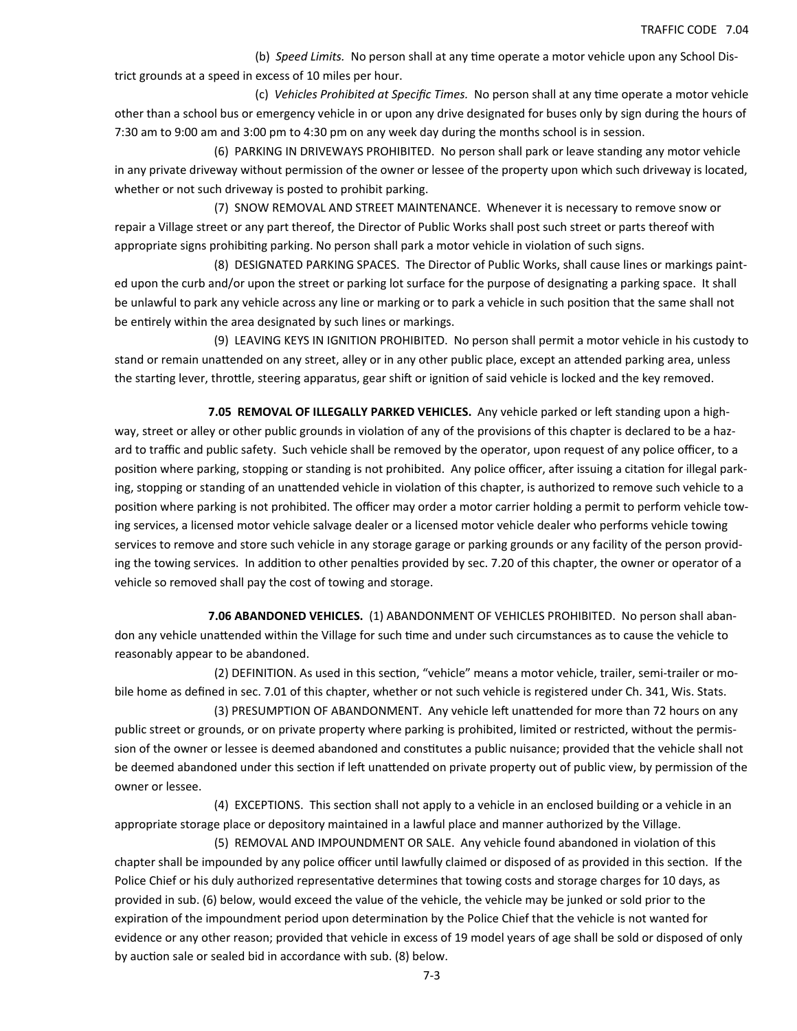(b) Speed Limits. No person shall at any time operate a motor vehicle upon any School District grounds at a speed in excess of 10 miles per hour.

 (c) *Vehicles Prohibited at Specific Times.* No person shall at any Ɵme operate a motor vehicle other than a school bus or emergency vehicle in or upon any drive designated for buses only by sign during the hours of 7:30 am to 9:00 am and 3:00 pm to 4:30 pm on any week day during the months school is in session.

 (6) PARKING IN DRIVEWAYS PROHIBITED. No person shall park or leave standing any motor vehicle in any private driveway without permission of the owner or lessee of the property upon which such driveway is located, whether or not such driveway is posted to prohibit parking.

 (7) SNOW REMOVAL AND STREET MAINTENANCE. Whenever it is necessary to remove snow or repair a Village street or any part thereof, the Director of Public Works shall post such street or parts thereof with appropriate signs prohibiting parking. No person shall park a motor vehicle in violation of such signs.

 (8) DESIGNATED PARKING SPACES. The Director of Public Works, shall cause lines or markings paint‐ ed upon the curb and/or upon the street or parking lot surface for the purpose of designating a parking space. It shall be unlawful to park any vehicle across any line or marking or to park a vehicle in such position that the same shall not be entirely within the area designated by such lines or markings.

 (9) LEAVING KEYS IN IGNITION PROHIBITED. No person shall permit a motor vehicle in his custody to stand or remain unattended on any street, alley or in any other public place, except an attended parking area, unless the starting lever, throttle, steering apparatus, gear shift or ignition of said vehicle is locked and the key removed.

**7.05 REMOVAL OF ILLEGALLY PARKED VEHICLES.** Any vehicle parked or left standing upon a highway, street or alley or other public grounds in violation of any of the provisions of this chapter is declared to be a hazard to traffic and public safety. Such vehicle shall be removed by the operator, upon request of any police officer, to a position where parking, stopping or standing is not prohibited. Any police officer, after issuing a citation for illegal parking, stopping or standing of an unattended vehicle in violation of this chapter, is authorized to remove such vehicle to a position where parking is not prohibited. The officer may order a motor carrier holding a permit to perform vehicle towing services, a licensed motor vehicle salvage dealer or a licensed motor vehicle dealer who performs vehicle towing services to remove and store such vehicle in any storage garage or parking grounds or any facility of the person providing the towing services. In addition to other penalties provided by sec. 7.20 of this chapter, the owner or operator of a vehicle so removed shall pay the cost of towing and storage.

 **7.06 ABANDONED VEHICLES.** (1) ABANDONMENT OF VEHICLES PROHIBITED. No person shall aban‐ don any vehicle unattended within the Village for such time and under such circumstances as to cause the vehicle to reasonably appear to be abandoned.

(2) DEFINITION. As used in this section, "vehicle" means a motor vehicle, trailer, semi-trailer or mobile home as defined in sec. 7.01 of this chapter, whether or not such vehicle is registered under Ch. 341, Wis. Stats.

(3) PRESUMPTION OF ABANDONMENT. Any vehicle left unattended for more than 72 hours on any public street or grounds, or on private property where parking is prohibited, limited or restricted, without the permission of the owner or lessee is deemed abandoned and constitutes a public nuisance; provided that the vehicle shall not be deemed abandoned under this section if left unattended on private property out of public view, by permission of the owner or lessee.

(4) EXCEPTIONS. This section shall not apply to a vehicle in an enclosed building or a vehicle in an appropriate storage place or depository maintained in a lawful place and manner authorized by the Village.

(5) REMOVAL AND IMPOUNDMENT OR SALE. Any vehicle found abandoned in violation of this chapter shall be impounded by any police officer until lawfully claimed or disposed of as provided in this section. If the Police Chief or his duly authorized representative determines that towing costs and storage charges for 10 days, as provided in sub. (6) below, would exceed the value of the vehicle, the vehicle may be junked or sold prior to the expiration of the impoundment period upon determination by the Police Chief that the vehicle is not wanted for evidence or any other reason; provided that vehicle in excess of 19 model years of age shall be sold or disposed of only by auction sale or sealed bid in accordance with sub. (8) below.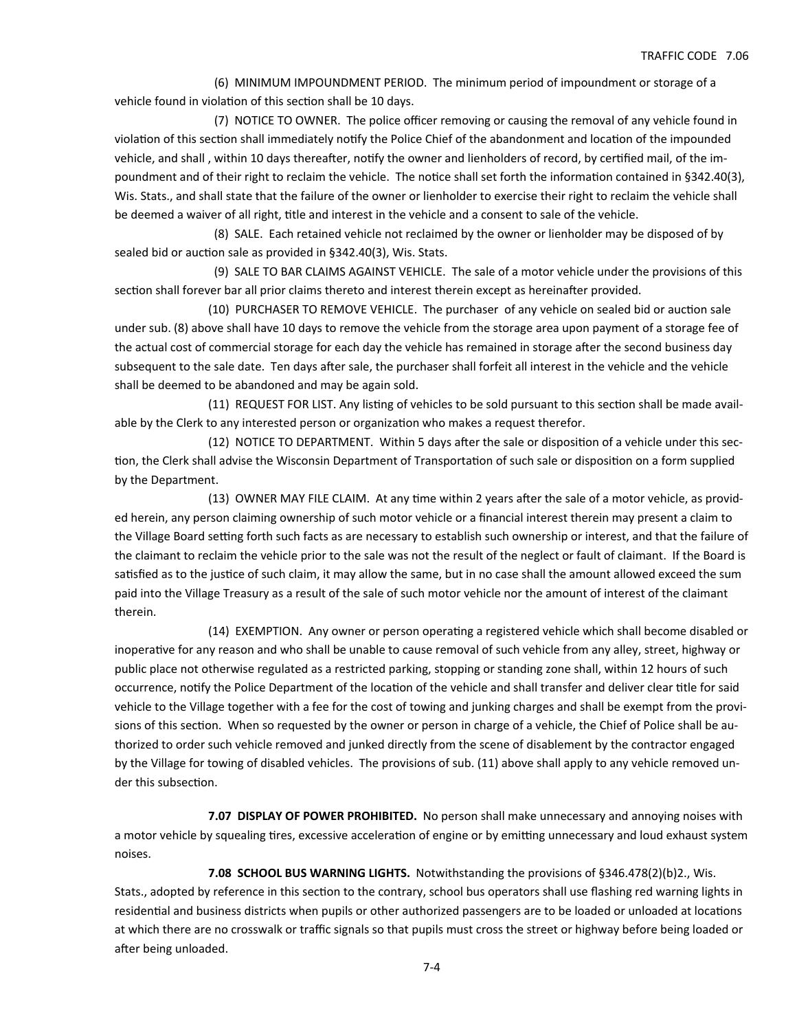(6) MINIMUM IMPOUNDMENT PERIOD. The minimum period of impoundment or storage of a vehicle found in violation of this section shall be 10 days.

 (7) NOTICE TO OWNER. The police officer removing or causing the removal of any vehicle found in violation of this section shall immediately notify the Police Chief of the abandonment and location of the impounded vehicle, and shall, within 10 days thereafter, notify the owner and lienholders of record, by certified mail, of the impoundment and of their right to reclaim the vehicle. The notice shall set forth the information contained in §342.40(3), Wis. Stats., and shall state that the failure of the owner or lienholder to exercise their right to reclaim the vehicle shall be deemed a waiver of all right, title and interest in the vehicle and a consent to sale of the vehicle.

 (8) SALE. Each retained vehicle not reclaimed by the owner or lienholder may be disposed of by sealed bid or auction sale as provided in §342.40(3), Wis. Stats.

 (9) SALE TO BAR CLAIMS AGAINST VEHICLE. The sale of a motor vehicle under the provisions of this section shall forever bar all prior claims thereto and interest therein except as hereinafter provided.

(10) PURCHASER TO REMOVE VEHICLE. The purchaser of any vehicle on sealed bid or auction sale under sub. (8) above shall have 10 days to remove the vehicle from the storage area upon payment of a storage fee of the actual cost of commercial storage for each day the vehicle has remained in storage after the second business day subsequent to the sale date. Ten days after sale, the purchaser shall forfeit all interest in the vehicle and the vehicle shall be deemed to be abandoned and may be again sold.

(11) REQUEST FOR LIST. Any listing of vehicles to be sold pursuant to this section shall be made available by the Clerk to any interested person or organization who makes a request therefor.

(12) NOTICE TO DEPARTMENT. Within 5 days after the sale or disposition of a vehicle under this section, the Clerk shall advise the Wisconsin Department of Transportation of such sale or disposition on a form supplied by the Department.

(13) OWNER MAY FILE CLAIM. At any time within 2 years after the sale of a motor vehicle, as provided herein, any person claiming ownership of such motor vehicle or a financial interest therein may present a claim to the Village Board setting forth such facts as are necessary to establish such ownership or interest, and that the failure of the claimant to reclaim the vehicle prior to the sale was not the result of the neglect or fault of claimant. If the Board is satisfied as to the justice of such claim, it may allow the same, but in no case shall the amount allowed exceed the sum paid into the Village Treasury as a result of the sale of such motor vehicle nor the amount of interest of the claimant therein.

(14) EXEMPTION. Any owner or person operating a registered vehicle which shall become disabled or inoperative for any reason and who shall be unable to cause removal of such vehicle from any alley, street, highway or public place not otherwise regulated as a restricted parking, stopping or standing zone shall, within 12 hours of such occurrence, notify the Police Department of the location of the vehicle and shall transfer and deliver clear title for said vehicle to the Village together with a fee for the cost of towing and junking charges and shall be exempt from the provisions of this section. When so requested by the owner or person in charge of a vehicle, the Chief of Police shall be authorized to order such vehicle removed and junked directly from the scene of disablement by the contractor engaged by the Village for towing of disabled vehicles. The provisions of sub. (11) above shall apply to any vehicle removed un‐ der this subsection.

**7.07 DISPLAY OF POWER PROHIBITED.** No person shall make unnecessary and annoying noises with a motor vehicle by squealing tires, excessive acceleration of engine or by emitting unnecessary and loud exhaust system noises.

**7.08 SCHOOL BUS WARNING LIGHTS.** Notwithstanding the provisions of §346.478(2)(b)2., Wis. Stats., adopted by reference in this section to the contrary, school bus operators shall use flashing red warning lights in residential and business districts when pupils or other authorized passengers are to be loaded or unloaded at locations at which there are no crosswalk or traffic signals so that pupils must cross the street or highway before being loaded or after being unloaded.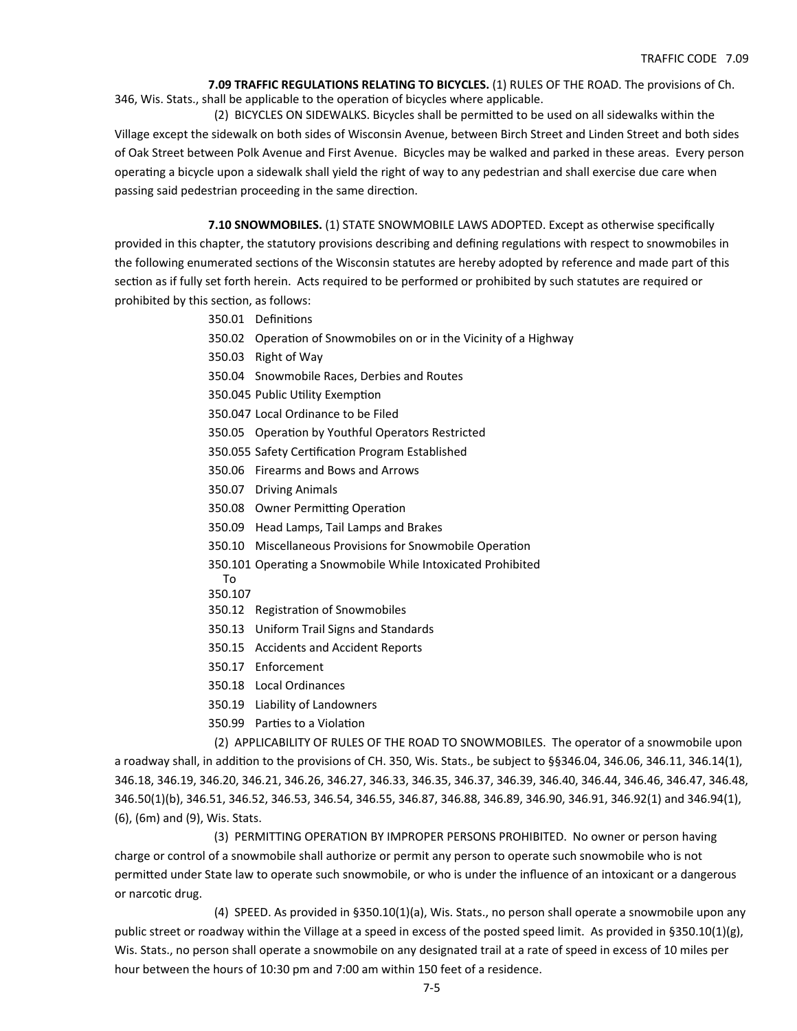**7.09 TRAFFIC REGULATIONS RELATING TO BICYCLES.** (1) RULES OF THE ROAD. The provisions of Ch. 346, Wis. Stats., shall be applicable to the operation of bicycles where applicable.

(2) BICYCLES ON SIDEWALKS. Bicycles shall be permitted to be used on all sidewalks within the Village except the sidewalk on both sides of Wisconsin Avenue, between Birch Street and Linden Street and both sides of Oak Street between Polk Avenue and First Avenue. Bicycles may be walked and parked in these areas. Every person operating a bicycle upon a sidewalk shall yield the right of way to any pedestrian and shall exercise due care when passing said pedestrian proceeding in the same direction.

**7.10 SNOWMOBILES.** (1) STATE SNOWMOBILE LAWS ADOPTED. Except as otherwise specifically

provided in this chapter, the statutory provisions describing and defining regulations with respect to snowmobiles in the following enumerated sections of the Wisconsin statutes are hereby adopted by reference and made part of this section as if fully set forth herein. Acts required to be performed or prohibited by such statutes are required or prohibited by this section, as follows:

- 350.01 Definitions
- 350.02 Operation of Snowmobiles on or in the Vicinity of a Highway
- 350.03 Right of Way
- 350.04 Snowmobile Races, Derbies and Routes
- 350.045 Public Utility Exemption
- 350.047 Local Ordinance to be Filed
- 350.05 Operation by Youthful Operators Restricted
- 350.055 Safety Certification Program Established
- 350.06 Firearms and Bows and Arrows
- 350.07 Driving Animals
- 350.08 Owner Permitting Operation
- 350.09 Head Lamps, Tail Lamps and Brakes
- 350.10 Miscellaneous Provisions for Snowmobile Operation
- 350.101 Operating a Snowmobile While Intoxicated Prohibited
- To 350.107
- 350.12 Registration of Snowmobiles
- 350.13 Uniform Trail Signs and Standards
- 350.15 Accidents and Accident Reports
- 350.17 Enforcement
- 350.18 Local Ordinances
- 350.19 Liability of Landowners
- 350.99 Parties to a Violation

 (2) APPLICABILITY OF RULES OF THE ROAD TO SNOWMOBILES. The operator of a snowmobile upon a roadway shall, in addition to the provisions of CH. 350, Wis. Stats., be subject to §§346.04, 346.06, 346.11, 346.14(1), 346.18, 346.19, 346.20, 346.21, 346.26, 346.27, 346.33, 346.35, 346.37, 346.39, 346.40, 346.44, 346.46, 346.47, 346.48, 346.50(1)(b), 346.51, 346.52, 346.53, 346.54, 346.55, 346.87, 346.88, 346.89, 346.90, 346.91, 346.92(1) and 346.94(1), (6), (6m) and (9), Wis. Stats.

 (3) PERMITTING OPERATION BY IMPROPER PERSONS PROHIBITED. No owner or person having charge or control of a snowmobile shall authorize or permit any person to operate such snowmobile who is not permitted under State law to operate such snowmobile, or who is under the influence of an intoxicant or a dangerous or narcotic drug.

 (4) SPEED. As provided in §350.10(1)(a), Wis. Stats., no person shall operate a snowmobile upon any public street or roadway within the Village at a speed in excess of the posted speed limit. As provided in §350.10(1)(g), Wis. Stats., no person shall operate a snowmobile on any designated trail at a rate of speed in excess of 10 miles per hour between the hours of 10:30 pm and 7:00 am within 150 feet of a residence.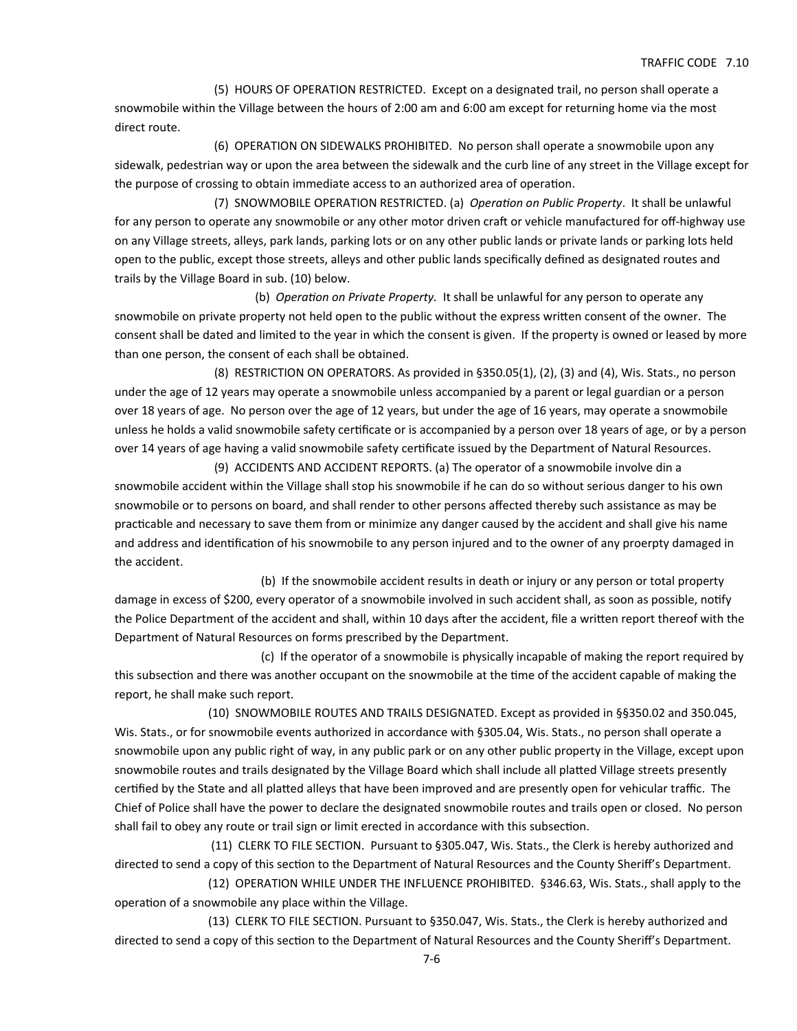(5) HOURS OF OPERATION RESTRICTED. Except on a designated trail, no person shall operate a snowmobile within the Village between the hours of 2:00 am and 6:00 am except for returning home via the most direct route.

 (6) OPERATION ON SIDEWALKS PROHIBITED. No person shall operate a snowmobile upon any sidewalk, pedestrian way or upon the area between the sidewalk and the curb line of any street in the Village except for the purpose of crossing to obtain immediate access to an authorized area of operation.

 (7) SNOWMOBILE OPERATION RESTRICTED. (a) *OperaƟon on Public Property*. It shall be unlawful for any person to operate any snowmobile or any other motor driven craft or vehicle manufactured for off-highway use on any Village streets, alleys, park lands, parking lots or on any other public lands or private lands or parking lots held open to the public, except those streets, alleys and other public lands specifically defined as designated routes and trails by the Village Board in sub. (10) below.

 (b) *OperaƟon on Private Property.* It shall be unlawful for any person to operate any snowmobile on private property not held open to the public without the express written consent of the owner. The consent shall be dated and limited to the year in which the consent is given. If the property is owned or leased by more than one person, the consent of each shall be obtained.

 (8) RESTRICTION ON OPERATORS. As provided in §350.05(1), (2), (3) and (4), Wis. Stats., no person under the age of 12 years may operate a snowmobile unless accompanied by a parent or legal guardian or a person over 18 years of age. No person over the age of 12 years, but under the age of 16 years, may operate a snowmobile unless he holds a valid snowmobile safety certificate or is accompanied by a person over 18 years of age, or by a person over 14 years of age having a valid snowmobile safety certificate issued by the Department of Natural Resources. (9) ACCIDENTS AND ACCIDENT REPORTS. (a) The operator of a snowmobile involve din a

snowmobile accident within the Village shall stop his snowmobile if he can do so without serious danger to his own snowmobile or to persons on board, and shall render to other persons affected thereby such assistance as may be practicable and necessary to save them from or minimize any danger caused by the accident and shall give his name and address and identification of his snowmobile to any person injured and to the owner of any proerpty damaged in the accident.

 (b) If the snowmobile accident results in death or injury or any person or total property damage in excess of \$200, every operator of a snowmobile involved in such accident shall, as soon as possible, notify the Police Department of the accident and shall, within 10 days after the accident, file a written report thereof with the Department of Natural Resources on forms prescribed by the Department.

 (c) If the operator of a snowmobile is physically incapable of making the report required by this subsection and there was another occupant on the snowmobile at the time of the accident capable of making the report, he shall make such report.

 (10) SNOWMOBILE ROUTES AND TRAILS DESIGNATED. Except as provided in §§350.02 and 350.045, Wis. Stats., or for snowmobile events authorized in accordance with §305.04, Wis. Stats., no person shall operate a snowmobile upon any public right of way, in any public park or on any other public property in the Village, except upon snowmobile routes and trails designated by the Village Board which shall include all platted Village streets presently certified by the State and all platted alleys that have been improved and are presently open for vehicular traffic. The Chief of Police shall have the power to declare the designated snowmobile routes and trails open or closed. No person shall fail to obey any route or trail sign or limit erected in accordance with this subsection.

(11) CLERK TO FILE SECTION. Pursuant to §305.047, Wis. Stats., the Clerk is hereby authorized and directed to send a copy of this section to the Department of Natural Resources and the County Sheriff's Department.

 (12) OPERATION WHILE UNDER THE INFLUENCE PROHIBITED. §346.63, Wis. Stats., shall apply to the operation of a snowmobile any place within the Village.

 (13) CLERK TO FILE SECTION. Pursuant to §350.047, Wis. Stats., the Clerk is hereby authorized and directed to send a copy of this section to the Department of Natural Resources and the County Sheriff's Department.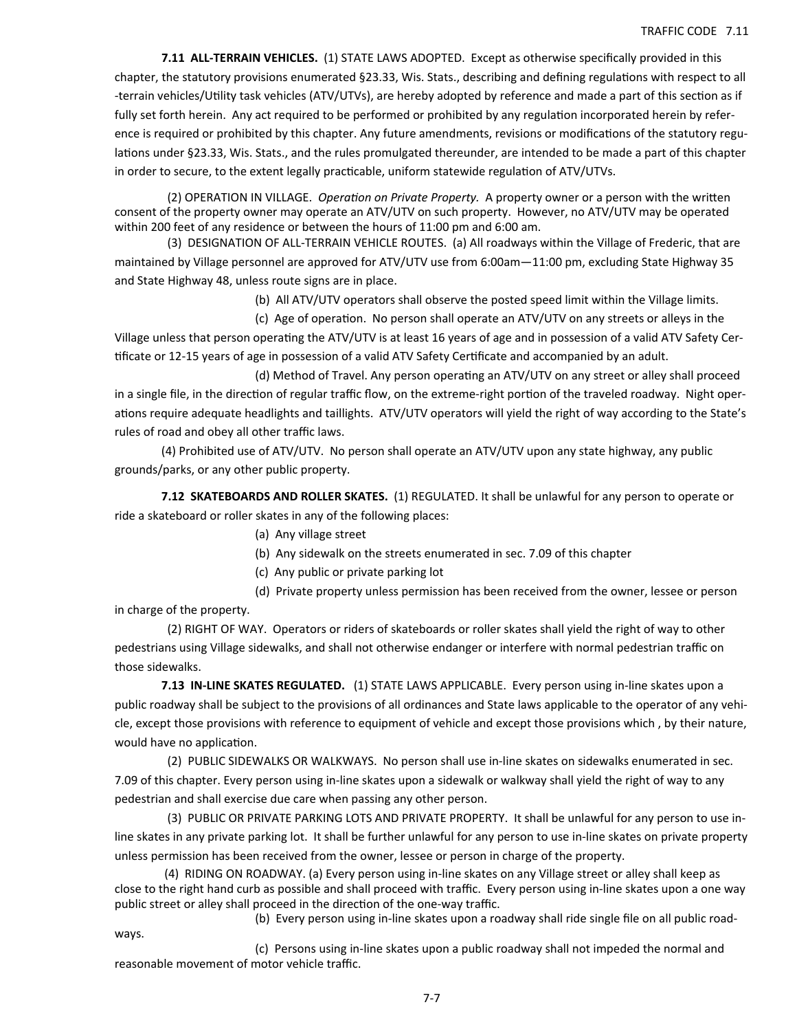**7.11 ALL‐TERRAIN VEHICLES.** (1) STATE LAWS ADOPTED. Except as otherwise specifically provided in this chapter, the statutory provisions enumerated §23.33, Wis. Stats., describing and defining regulations with respect to all -terrain vehicles/Utility task vehicles (ATV/UTVs), are hereby adopted by reference and made a part of this section as if fully set forth herein. Any act required to be performed or prohibited by any regulation incorporated herein by reference is required or prohibited by this chapter. Any future amendments, revisions or modifications of the statutory regulations under §23.33, Wis. Stats., and the rules promulgated thereunder, are intended to be made a part of this chapter in order to secure, to the extent legally practicable, uniform statewide regulation of ATV/UTVs.

(2) OPERATION IN VILLAGE. *Operation on Private Property*. A property owner or a person with the written consent of the property owner may operate an ATV/UTV on such property. However, no ATV/UTV may be operated within 200 feet of any residence or between the hours of 11:00 pm and 6:00 am.

 (3) DESIGNATION OF ALL‐TERRAIN VEHICLE ROUTES. (a) All roadways within the Village of Frederic, that are maintained by Village personnel are approved for ATV/UTV use from 6:00am—11:00 pm, excluding State Highway 35 and State Highway 48, unless route signs are in place.

(b) All ATV/UTV operators shall observe the posted speed limit within the Village limits.

 (c) Age of operaƟon. No person shall operate an ATV/UTV on any streets or alleys in the Village unless that person operating the ATV/UTV is at least 16 years of age and in possession of a valid ATV Safety Certificate or 12-15 years of age in possession of a valid ATV Safety Certificate and accompanied by an adult.

(d) Method of Travel. Any person operating an ATV/UTV on any street or alley shall proceed in a single file, in the direction of regular traffic flow, on the extreme-right portion of the traveled roadway. Night operations require adequate headlights and taillights. ATV/UTV operators will yield the right of way according to the State's rules of road and obey all other traffic laws.

 (4) Prohibited use of ATV/UTV. No person shall operate an ATV/UTV upon any state highway, any public grounds/parks, or any other public property.

**7.12 SKATEBOARDS AND ROLLER SKATES.** (1) REGULATED. It shall be unlawful for any person to operate or ride a skateboard or roller skates in any of the following places:

- (a) Any village street
- (b) Any sidewalk on the streets enumerated in sec. 7.09 of this chapter
- (c) Any public or private parking lot

 (d) Private property unless permission has been received from the owner, lessee or person in charge of the property.

 (2) RIGHT OF WAY. Operators or riders of skateboards or roller skates shall yield the right of way to other pedestrians using Village sidewalks, and shall not otherwise endanger or interfere with normal pedestrian traffic on those sidewalks.

**7.13 IN‐LINE SKATES REGULATED.** (1) STATE LAWS APPLICABLE. Every person using in‐line skates upon a public roadway shall be subject to the provisions of all ordinances and State laws applicable to the operator of any vehi‐ cle, except those provisions with reference to equipment of vehicle and except those provisions which , by their nature, would have no application.

 (2) PUBLIC SIDEWALKS OR WALKWAYS. No person shall use in‐line skates on sidewalks enumerated in sec. 7.09 of this chapter. Every person using in‐line skates upon a sidewalk or walkway shall yield the right of way to any pedestrian and shall exercise due care when passing any other person.

 (3) PUBLIC OR PRIVATE PARKING LOTS AND PRIVATE PROPERTY. It shall be unlawful for any person to use in‐ line skates in any private parking lot. It shall be further unlawful for any person to use in‐line skates on private property unless permission has been received from the owner, lessee or person in charge of the property.

 (4) RIDING ON ROADWAY. (a) Every person using in‐line skates on any Village street or alley shall keep as close to the right hand curb as possible and shall proceed with traffic. Every person using in‐line skates upon a one way public street or alley shall proceed in the direction of the one-way traffic.

 (b) Every person using in‐line skates upon a roadway shall ride single file on all public road‐ ways.

 (c) Persons using in‐line skates upon a public roadway shall not impeded the normal and reasonable movement of motor vehicle traffic.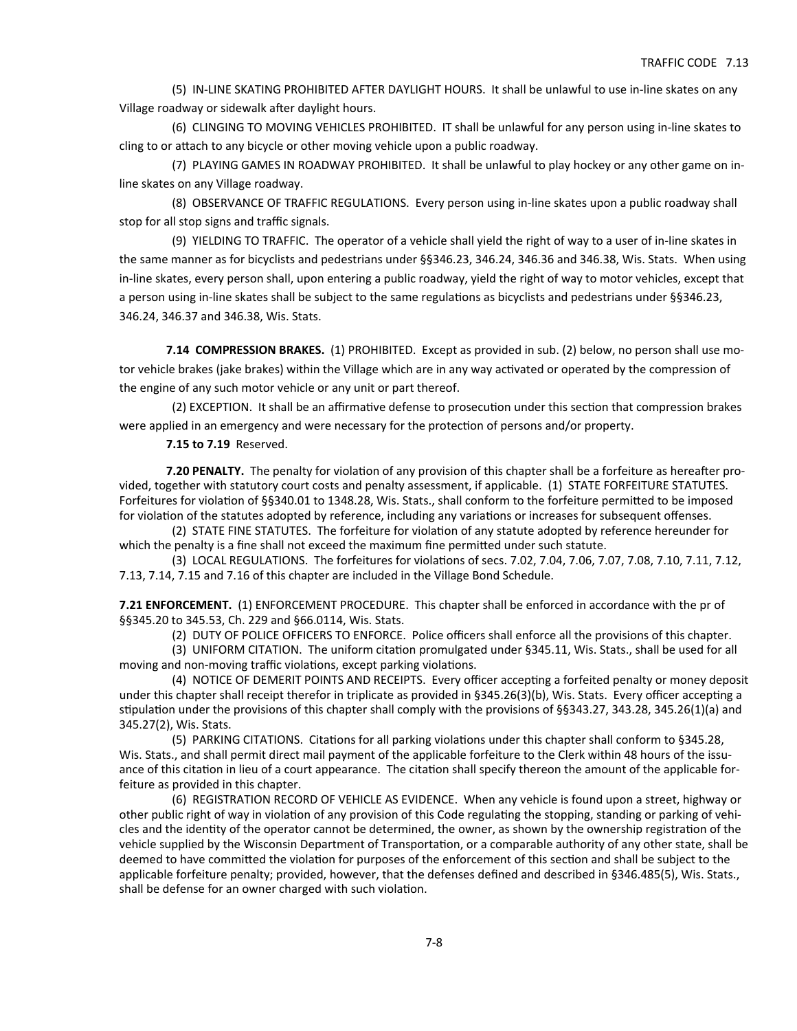(5) IN‐LINE SKATING PROHIBITED AFTER DAYLIGHT HOURS. It shall be unlawful to use in‐line skates on any Village roadway or sidewalk after daylight hours.

 (6) CLINGING TO MOVING VEHICLES PROHIBITED. IT shall be unlawful for any person using in‐line skates to cling to or attach to any bicycle or other moving vehicle upon a public roadway.

 (7) PLAYING GAMES IN ROADWAY PROHIBITED. It shall be unlawful to play hockey or any other game on in‐ line skates on any Village roadway.

 (8) OBSERVANCE OF TRAFFIC REGULATIONS. Every person using in‐line skates upon a public roadway shall stop for all stop signs and traffic signals.

 (9) YIELDING TO TRAFFIC. The operator of a vehicle shall yield the right of way to a user of in‐line skates in the same manner as for bicyclists and pedestrians under §§346.23, 346.24, 346.36 and 346.38, Wis. Stats. When using in‐line skates, every person shall, upon entering a public roadway, yield the right of way to motor vehicles, except that a person using in-line skates shall be subject to the same regulations as bicyclists and pedestrians under §§346.23, 346.24, 346.37 and 346.38, Wis. Stats.

**7.14 COMPRESSION BRAKES.** (1) PROHIBITED. Except as provided in sub. (2) below, no person shall use motor vehicle brakes (jake brakes) within the Village which are in any way activated or operated by the compression of the engine of any such motor vehicle or any unit or part thereof.

(2) EXCEPTION. It shall be an affirmative defense to prosecution under this section that compression brakes were applied in an emergency and were necessary for the protection of persons and/or property.

**7.15 to 7.19** Reserved.

**7.20 PENALTY.** The penalty for violation of any provision of this chapter shall be a forfeiture as hereafter provided, together with statutory court costs and penalty assessment, if applicable. (1) STATE FORFEITURE STATUTES. Forfeitures for violation of §§340.01 to 1348.28, Wis. Stats., shall conform to the forfeiture permitted to be imposed for violation of the statutes adopted by reference, including any variations or increases for subsequent offenses.

(2) STATE FINE STATUTES. The forfeiture for violation of any statute adopted by reference hereunder for which the penalty is a fine shall not exceed the maximum fine permitted under such statute.

(3) LOCAL REGULATIONS. The forfeitures for violations of secs. 7.02, 7.04, 7.06, 7.07, 7.08, 7.10, 7.11, 7.12, 7.13, 7.14, 7.15 and 7.16 of this chapter are included in the Village Bond Schedule.

**7.21 ENFORCEMENT.** (1) ENFORCEMENT PROCEDURE. This chapter shall be enforced in accordance with the pr of §§345.20 to 345.53, Ch. 229 and §66.0114, Wis. Stats.

 (2) DUTY OF POLICE OFFICERS TO ENFORCE. Police officers shall enforce all the provisions of this chapter. (3) UNIFORM CITATION. The uniform citation promulgated under §345.11, Wis. Stats., shall be used for all moving and non-moving traffic violations, except parking violations.

(4) NOTICE OF DEMERIT POINTS AND RECEIPTS. Every officer accepting a forfeited penalty or money deposit under this chapter shall receipt therefor in triplicate as provided in §345.26(3)(b), Wis. Stats. Every officer accepting a stipulation under the provisions of this chapter shall comply with the provisions of §§343.27, 343.28, 345.26(1)(a) and 345.27(2), Wis. Stats.

(5) PARKING CITATIONS. Citations for all parking violations under this chapter shall conform to §345.28, Wis. Stats., and shall permit direct mail payment of the applicable forfeiture to the Clerk within 48 hours of the issuance of this citation in lieu of a court appearance. The citation shall specify thereon the amount of the applicable forfeiture as provided in this chapter.

 (6) REGISTRATION RECORD OF VEHICLE AS EVIDENCE. When any vehicle is found upon a street, highway or other public right of way in violation of any provision of this Code regulating the stopping, standing or parking of vehicles and the identity of the operator cannot be determined, the owner, as shown by the ownership registration of the vehicle supplied by the Wisconsin Department of Transportation, or a comparable authority of any other state, shall be deemed to have committed the violation for purposes of the enforcement of this section and shall be subject to the applicable forfeiture penalty; provided, however, that the defenses defined and described in §346.485(5), Wis. Stats., shall be defense for an owner charged with such violation.